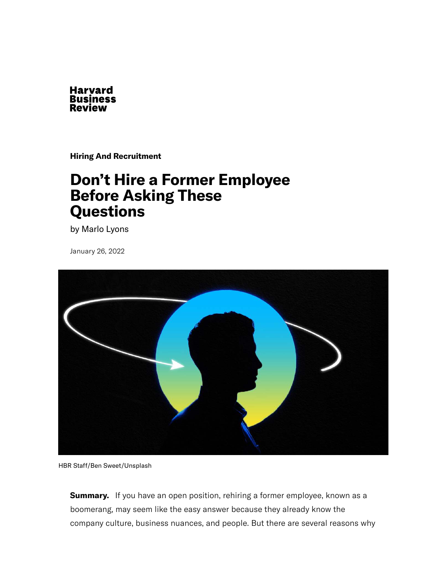

**[Hiring And Recruitment](https://hbr.org/topic/hiring-and-recruitment)**

# **Don't Hire a Former Employee Before Asking These Questions**

by [Marlo Lyons](https://hbr.org/search?term=marlo%20lyons)

January 26, 2022



HBR Staff/Ben Sweet/Unsplash

**Summary.**  If you have an open position, rehiring a former employee, known as a boomerang, may seem like the easy answer because they already know the company culture, business nuances, and people. But there are several reasons why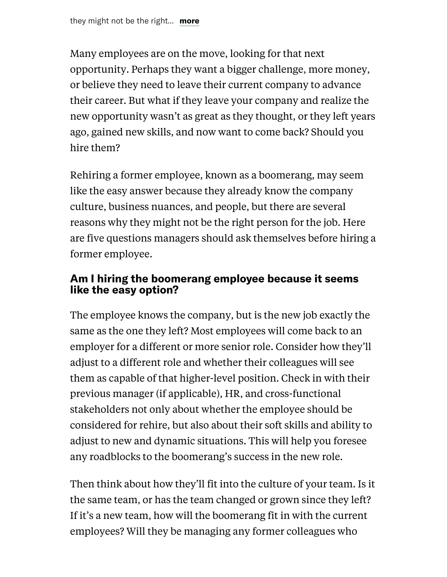Many employees are on the move, looking for that next opportunity. Perhaps they want a bigger challenge, more money, or believe they need to leave their current company to advance their career. But what if they leave your company and realize the new opportunity [wasn't as great as they thought](https://hbr.org/2021/12/so-you-want-to-quit-your-brand-new-job), or they left years ago, gained new skills, and now want to come back? Should you hire them?

Rehiring a former employee, known as a [boomerang](https://hbr.org/2021/02/should-you-rehire-an-employee-who-left-your-company), may seem like the easy answer because they already know the company culture, business nuances, and people, but there are several reasons why they might not be the right person for the job. Here are five questions managers should ask themselves before hiring a former employee.

### **Am I hiring the boomerang employee because it seems like the easy option?**

The employee knows the company, but is the new job exactly the same as the one they left? Most employees will come back to an employer for a different or more senior role. Consider how they'll adjust to a different role and whether their colleagues will see them as capable of that higher-level position. Check in with their previous manager (if applicable), HR, and cross-functional stakeholders not only about whether the employee should be considered for rehire, but also about their soft skills and ability to adjust to new and dynamic situations. This will help you foresee any roadblocks to the boomerang's success in the new role.

Then think about how they'll fit into the culture of your team. Is it the same team, or has the team changed or grown since they left? If it's a new team, how will the boomerang fit in with the current employees? Will they be managing any former colleagues who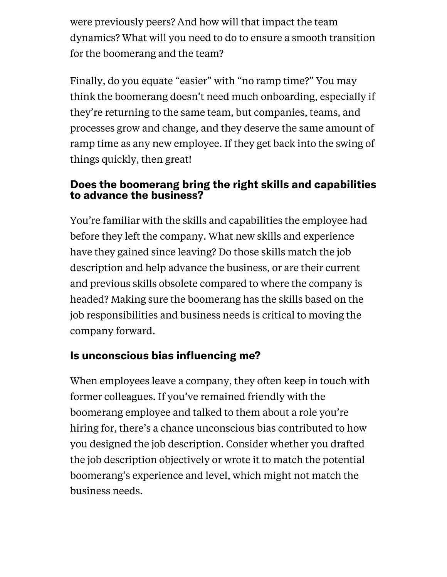were previously peers? And how will that impact the team dynamics? What will you need to do to ensure a smooth transition for the boomerang and the team?

Finally, do you equate "easier" with "no ramp time?" You may think the boomerang doesn't need much onboarding, especially if they're returning to the same team, but companies, teams, and processes grow and change, and they deserve the same amount of ramp time as any new employee. If they get back into the swing of things quickly, then great!

### **Does the boomerang bring the right skills and capabilities to advance the business?**

You're familiar with the skills and capabilities the employee had before they left the company. What new skills and experience have they gained since leaving? Do those skills match the job description and help advance the business, or are their current and previous skills obsolete compared to where the company is headed? Making sure the boomerang has the skills based on the job responsibilities and business needs is critical to moving the company forward.

## **Is unconscious bias influencing me?**

When employees leave a company, they often keep in touch with former colleagues. If you've remained friendly with the boomerang employee and talked to them about a role you're hiring for, there's a chance unconscious bias contributed to how you designed the job description. Consider whether you drafted the job description objectively or wrote it to match the potential boomerang's experience and level, which might not match the business needs.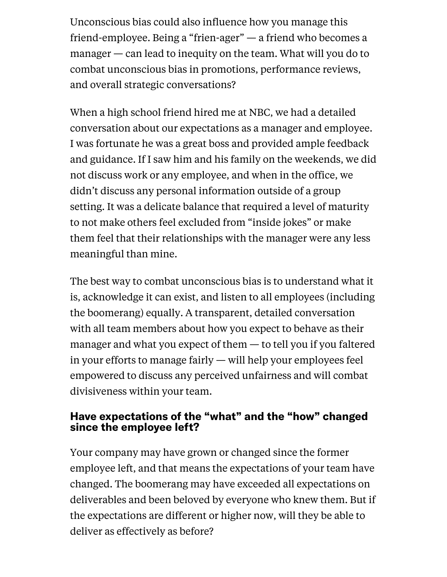Unconscious bias could also influence how you manage this friend-employee. Being a "frien-ager" — a friend who becomes a manager — can lead to inequity on the team. What will you do to combat unconscious bias in promotions, performance reviews, and overall strategic conversations?

When a high school friend hired me at NBC, we had a detailed conversation about our expectations as a manager and employee. I was fortunate he was a great boss and provided ample feedback and guidance. If I saw him and his family on the weekends, we did not discuss work or any employee, and when in the office, we didn't discuss any personal information outside of a group setting. It was a delicate balance that required a level of maturity to not make others feel excluded from "inside jokes" or make them feel that their relationships with the manager were any less meaningful than mine.

The best way to combat unconscious bias is to understand what it is, acknowledge it can exist, and listen to all employees (including the boomerang) equally. A transparent, detailed conversation with all team members about how you expect to behave as their manager and what you expect of them — to tell you if you faltered in your efforts to manage fairly — will help your employees feel empowered to discuss any perceived unfairness and will combat divisiveness within your team.

### **Have expectations of the "what" and the "how" changed since the employee left?**

Your company may have grown or changed since the former employee left, and that means the expectations of your team have changed. The boomerang may have exceeded all expectations on deliverables and been beloved by everyone who knew them. But if the expectations are different or higher now, will they be able to deliver as effectively as before?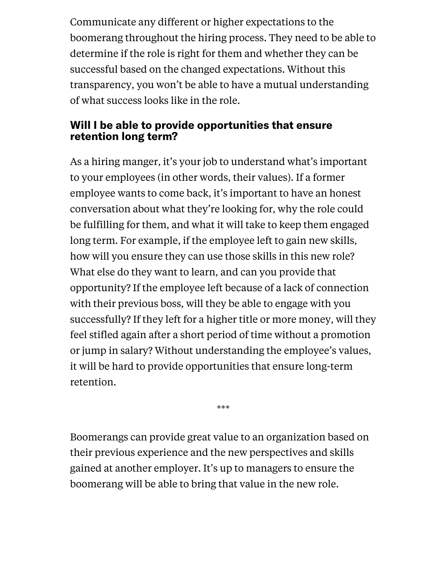Communicate any different or higher expectations to the boomerang throughout the hiring process. They need to be able to determine if the role is right for them and whether they can be successful based on the changed expectations. Without this transparency, you won't be able to have a mutual understanding of what success looks like in the role.

### **Will I be able to provide opportunities that ensure retention long term?**

As a hiring manger, it's your job to understand what's important to your employees (in other words, their values). If a former employee wants to come back, it's important to have an honest conversation about what they're looking for, why the role could be fulfilling for them, and what it will take to keep them engaged long term. For example, if the employee left to gain new skills, how will you ensure they can use those skills in this new role? What else do they want to learn, and can you provide that opportunity? If the employee left because of a lack of connection with their previous boss, will they be able to engage with you successfully? If they left for a higher title or more money, will they feel stifled again after a short period of time without a promotion or jump in salary? Without understanding the employee's values, it will be hard to provide opportunities that ensure long-term retention.

Boomerangs can provide great value to an organization based on their previous experience and the new perspectives and skills gained at another employer. It's up to managers to ensure the boomerang will be able to bring that value in the new role.

\*\*\*